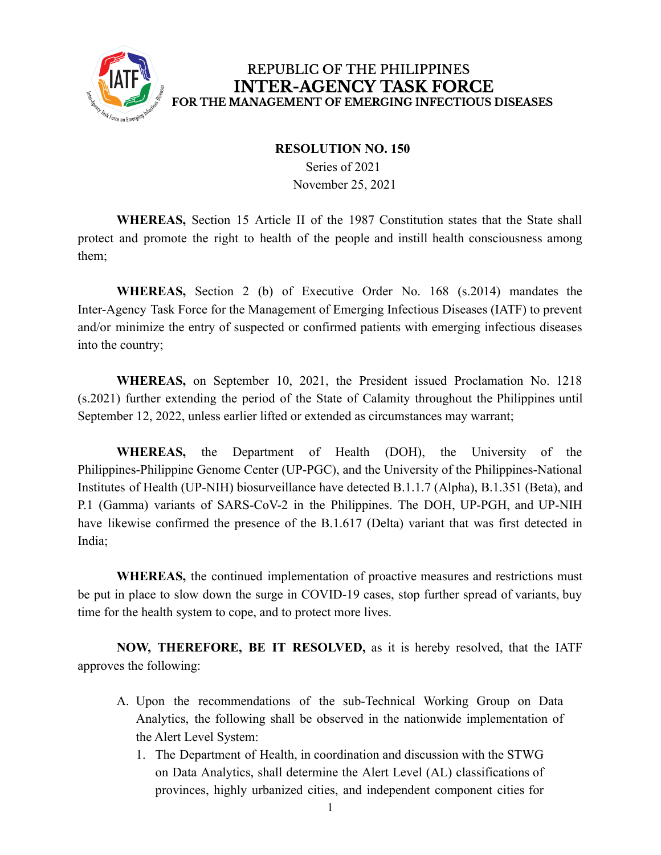

#### REPUBLIC OF THE PHILIPPINES **INTER-AGENCY TASK FORCE** FOR THE MANAGEMENT OF EMERGING INFECTIOUS DISEASES

#### **RESOLUTION NO. 150**

Series of 2021 November 25, 2021

**WHEREAS,** Section 15 Article II of the 1987 Constitution states that the State shall protect and promote the right to health of the people and instill health consciousness among them;

**WHEREAS,** Section 2 (b) of Executive Order No. 168 (s.2014) mandates the Inter-Agency Task Force for the Management of Emerging Infectious Diseases (IATF) to prevent and/or minimize the entry of suspected or confirmed patients with emerging infectious diseases into the country;

**WHEREAS,** on September 10, 2021, the President issued Proclamation No. 1218 (s.2021) further extending the period of the State of Calamity throughout the Philippines until September 12, 2022, unless earlier lifted or extended as circumstances may warrant;

**WHEREAS,** the Department of Health (DOH), the University of the Philippines-Philippine Genome Center (UP-PGC), and the University of the Philippines-National Institutes of Health (UP-NIH) biosurveillance have detected B.1.1.7 (Alpha), B.1.351 (Beta), and P.1 (Gamma) variants of SARS-CoV-2 in the Philippines. The DOH, UP-PGH, and UP-NIH have likewise confirmed the presence of the B.1.617 (Delta) variant that was first detected in India;

**WHEREAS,** the continued implementation of proactive measures and restrictions must be put in place to slow down the surge in COVID-19 cases, stop further spread of variants, buy time for the health system to cope, and to protect more lives.

**NOW, THEREFORE, BE IT RESOLVED,** as it is hereby resolved, that the IATF approves the following:

- A. Upon the recommendations of the sub-Technical Working Group on Data Analytics, the following shall be observed in the nationwide implementation of the Alert Level System:
	- 1. The Department of Health, in coordination and discussion with the STWG on Data Analytics, shall determine the Alert Level (AL) classifications of provinces, highly urbanized cities, and independent component cities for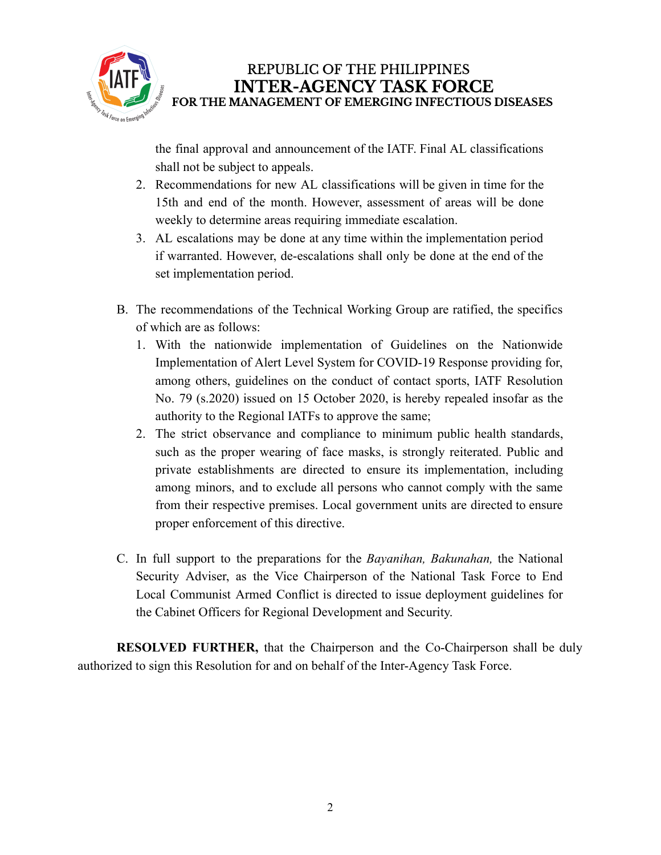

## REPUBLIC OF THE PHILIPPINES **INTER-AGENCY TASK FORCE** FOR THE MANAGEMENT OF EMERGING INFECTIOUS DISEASES

the final approval and announcement of the IATF. Final AL classifications shall not be subject to appeals.

- 2. Recommendations for new AL classifications will be given in time for the 15th and end of the month. However, assessment of areas will be done weekly to determine areas requiring immediate escalation.
- 3. AL escalations may be done at any time within the implementation period if warranted. However, de-escalations shall only be done at the end of the set implementation period.
- B. The recommendations of the Technical Working Group are ratified, the specifics of which are as follows:
	- 1. With the nationwide implementation of Guidelines on the Nationwide Implementation of Alert Level System for COVID-19 Response providing for, among others, guidelines on the conduct of contact sports, IATF Resolution No. 79 (s.2020) issued on 15 October 2020, is hereby repealed insofar as the authority to the Regional IATFs to approve the same;
	- 2. The strict observance and compliance to minimum public health standards, such as the proper wearing of face masks, is strongly reiterated. Public and private establishments are directed to ensure its implementation, including among minors, and to exclude all persons who cannot comply with the same from their respective premises. Local government units are directed to ensure proper enforcement of this directive.
- C. In full support to the preparations for the *Bayanihan, Bakunahan,* the National Security Adviser, as the Vice Chairperson of the National Task Force to End Local Communist Armed Conflict is directed to issue deployment guidelines for the Cabinet Officers for Regional Development and Security.

**RESOLVED FURTHER,** that the Chairperson and the Co-Chairperson shall be duly authorized to sign this Resolution for and on behalf of the Inter-Agency Task Force.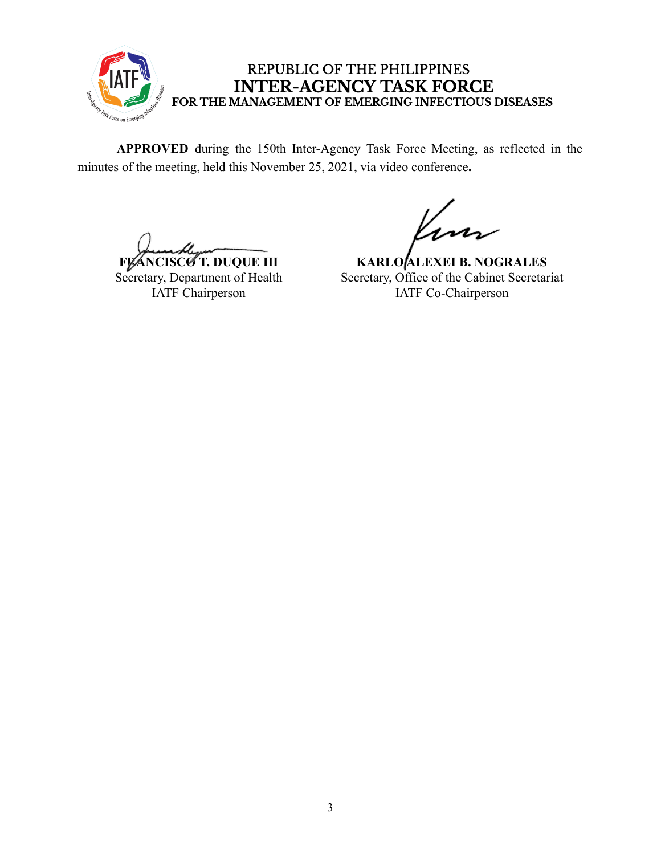

### REPUBLIC OF THE PHILIPPINES **INTER-AGENCY TASK FORCE** FOR THE MANAGEMENT OF EMERGING INFECTIOUS DISEASES

**APPROVED** during the 150th Inter-Agency Task Force Meeting, as reflected in the minutes of the meeting, held this November 25, 2021, via video conference**.**

**FLANCISCO T. DUQUE III** Secretary, Department of Health IATF Chairperson

**KARLO ALEXEI B. NOGRALES** Secretary, Office of the Cabinet Secretariat IATF Co-Chairperson